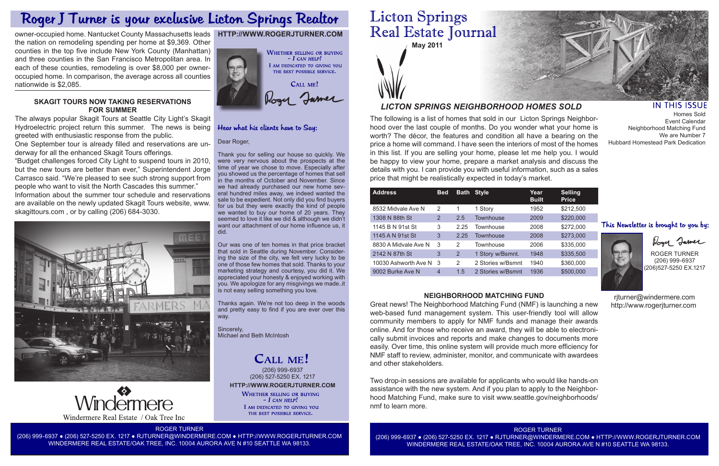

The following is a list of homes that sold in our Licton Springs Neighborhood over the last couple of months. Do you wonder what your home is worth? The décor, the features and condition all have a bearing on the price a home will command. I have seen the interiors of most of the homes in this list. If you are selling your home, please let me help you. I would be happy to view your home, prepare a market analysis and discuss the details with you. I can provide you with useful information, such as a sales price that might be realistically expected in today's market.

# *LICTON SPRINGS NEIGHBORHOOD HOMES SOLD*

**HTTP://WWW.ROGERJTURNER.COM**

**HTTP://WWW.ROGERJTURNER.COM**

**WHETHER SELLING OR BUYING** 

 $-$  I can help! I AM DEDICATED TO GIVING YOU THE BEST POSSIBLE SERVICE.

| <b>Address</b>       | <b>Bed</b> | <b>Bath</b> | <b>Style</b>      | Year<br><b>Built</b> | <b>Selling</b><br><b>Price</b> |
|----------------------|------------|-------------|-------------------|----------------------|--------------------------------|
| 8532 Midvale Ave N   | 2          | 1           | 1 Story           | 1952                 | \$212,500                      |
| 1308 N 88th St       | 2          | 2.5         | Townhouse         | 2009                 | \$220,000                      |
| 1145 B N 91st St     | 3          | 2.25        | Townhouse         | 2008                 | \$272,000                      |
| 1145 A N 91st St     | 3          | 2.25        | Townhouse         | 2008                 | \$273,000                      |
| 8830 A Midvale Ave N | 3          | 2           | Townhouse         | 2006                 | \$335,000                      |
| 2142 N 87th St       | 3          | 2           | 1 Story w/Bsmnt.  | 1948                 | \$335,500                      |
| 10030 Ashworth Ave N | 3          | 2           | 2 Stories w/Bsmnt | 1940                 | \$360,000                      |
| 9002 Burke Ave N     | 4          | 1.5         | 2 Stories w/Bsmnt | 1936                 | \$500,000                      |
|                      |            |             |                   |                      |                                |

Dear Roger,

Thank you for selling our house so quickly. We were very nervous about the prospects at the time of year we chose to move. Especially after you showed us the percentage of homes that sell in the months of October and November. Since we had already purchased our new home several hundred miles away, we indeed wanted the sale to be expedient. Not only did you find buyers for us but they were exactly the kind of people we wanted to buy our home of 20 years. They

Hear what his clients have to Say:





ROGER TURNER

(206) 999-6937 ● (206) 527-5250 EX. 1217 ● RJTURNER@WINDERMERE.COM ● HTTP://WWW.ROGERJTURNER.COM WINDERMERE REAL ESTATE/OAK TREE, INC. 10004 AURORA AVE N #10 SEATTLE WA 98133.

# **Licton Springs** Real Estate Journal

WINDERMERE REAL ESTATE/OAK TREE, INC. 10004 AURORA AVE N #10 SEATTLE WA 98133.



# **IN THIS ISSUE**

ROGER TURNER (206) 999-6937 (206)527-5250 EX.1217

 rjturner@windermere.com http://www.rogerjturner.com

(206) 999-6937 (206) 527-5250 EX. 1217

CALL ME!

# **NEIGHBORHOOD MATCHING FUND**

Great news! The Neighborhood Matching Fund (NMF) is launching a new web-based fund management system. This user-friendly tool will allow community members to apply for NMF funds and manage their awards online. And for those who receive an award, they will be able to electronically submit invoices and reports and make changes to documents more easily. Over time, this online system will provide much more efficiency for NMF staff to review, administer, monitor, and communicate with awardees and other stakeholders.

Two drop-in sessions are available for applicants who would like hands-on assistance with the new system. And if you plan to apply to the Neighborhood Matching Fund, make sure to visit www.seattle.gov/neighborhoods/ nmf to learn more.

Homes Sold Event Calendar Neighborhood Matching Fund We are Number 7 Hubbard Homestead Park Dedication

# This Newsletter is brought to you by:



Roger Jamer

# Roger J Turner is your exclusive Licton Springs Realtor

owner-occupied home. Nantucket County Massachusetts leads the nation on remodeling spending per home at \$9,369. Other counties in the top five include New York County (Manhattan) and three counties in the San Francisco Metropolitan area. In each of these counties, remodeling is over \$8,000 per owneroccupied home. In comparison, the average across all counties nationwide is \$2,085.



# **SKAGIT TOURS NOW TAKING RESERVATIONS FOR SUMMER**

The always popular Skagit Tours at Seattle City Light's Skagit Hydroelectric project return this summer. The news is being greeted with enthusiastic response from the public.

One September tour is already filled and reservations are underway for all the enhanced Skagit Tours offerings.

"Budget challenges forced City Light to suspend tours in 2010, but the new tours are better than ever," Superintendent Jorge Carrasco said. "We're pleased to see such strong support from people who want to visit the North Cascades this summer." Information about the summer tour schedule and reservations are available on the newly updated Skagit Tours website, www. skagittours.com , or by calling (206) 684-3030.